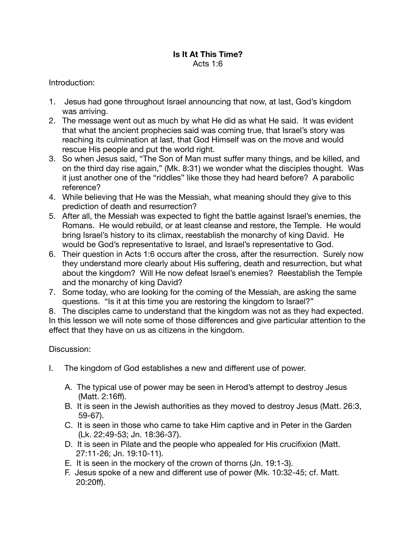## **Is It At This Time?**  Acts 1:6

## Introduction:

- 1. Jesus had gone throughout Israel announcing that now, at last, God's kingdom was arriving.
- 2. The message went out as much by what He did as what He said. It was evident that what the ancient prophecies said was coming true, that Israel's story was reaching its culmination at last, that God Himself was on the move and would rescue His people and put the world right.
- 3. So when Jesus said, "The Son of Man must suffer many things, and be killed, and on the third day rise again," (Mk. 8:31) we wonder what the disciples thought. Was it just another one of the "riddles" like those they had heard before? A parabolic reference?
- 4. While believing that He was the Messiah, what meaning should they give to this prediction of death and resurrection?
- 5. After all, the Messiah was expected to fight the battle against Israel's enemies, the Romans. He would rebuild, or at least cleanse and restore, the Temple. He would bring Israel's history to its climax, reestablish the monarchy of king David. He would be God's representative to Israel, and Israel's representative to God.
- 6. Their question in Acts 1:6 occurs after the cross, after the resurrection. Surely now they understand more clearly about His suffering, death and resurrection, but what about the kingdom? Will He now defeat Israel's enemies? Reestablish the Temple and the monarchy of king David?
- 7. Some today, who are looking for the coming of the Messiah, are asking the same questions. "Is it at this time you are restoring the kingdom to Israel?"

8. The disciples came to understand that the kingdom was not as they had expected. In this lesson we will note some of those differences and give particular attention to the effect that they have on us as citizens in the kingdom.

## Discussion:

- I. The kingdom of God establishes a new and different use of power.
	- A. The typical use of power may be seen in Herod's attempt to destroy Jesus (Matt. 2:16ff).
	- B. It is seen in the Jewish authorities as they moved to destroy Jesus (Matt. 26:3, 59-67).
	- C. It is seen in those who came to take Him captive and in Peter in the Garden (Lk. 22:49-53; Jn. 18:36-37).
	- D. It is seen in Pilate and the people who appealed for His crucifixion (Matt. 27:11-26; Jn. 19:10-11).
	- E. It is seen in the mockery of the crown of thorns (Jn. 19:1-3).
	- F. Jesus spoke of a new and different use of power (Mk. 10:32-45; cf. Matt. 20:20ff).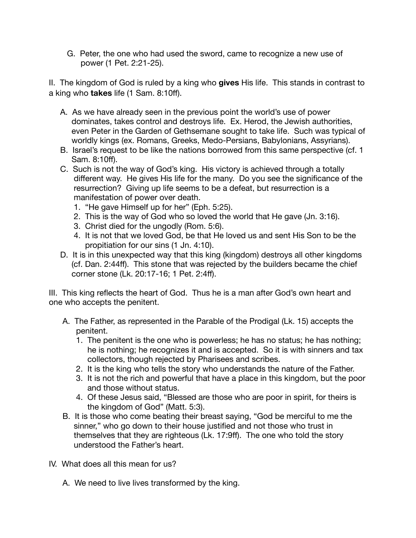G. Peter, the one who had used the sword, came to recognize a new use of power (1 Pet. 2:21-25).

II. The kingdom of God is ruled by a king who **gives** His life. This stands in contrast to a king who **takes** life (1 Sam. 8:10ff).

- A. As we have already seen in the previous point the world's use of power dominates, takes control and destroys life. Ex. Herod, the Jewish authorities, even Peter in the Garden of Gethsemane sought to take life. Such was typical of worldly kings (ex. Romans, Greeks, Medo-Persians, Babylonians, Assyrians).
- B. Israel's request to be like the nations borrowed from this same perspective (cf. 1 Sam. 8:10ff).
- C. Such is not the way of God's king. His victory is achieved through a totally different way. He gives His life for the many. Do you see the significance of the resurrection? Giving up life seems to be a defeat, but resurrection is a manifestation of power over death.
	- 1. "He gave Himself up for her" (Eph. 5:25).
	- 2. This is the way of God who so loved the world that He gave (Jn. 3:16).
	- 3. Christ died for the ungodly (Rom. 5:6).
	- 4. It is not that we loved God, be that He loved us and sent His Son to be the propitiation for our sins (1 Jn. 4:10).
- D. It is in this unexpected way that this king (kingdom) destroys all other kingdoms (cf. Dan. 2:44ff). This stone that was rejected by the builders became the chief corner stone (Lk. 20:17-16; 1 Pet. 2:4ff).

III. This king reflects the heart of God. Thus he is a man after God's own heart and one who accepts the penitent.

- A. The Father, as represented in the Parable of the Prodigal (Lk. 15) accepts the penitent.
	- 1. The penitent is the one who is powerless; he has no status; he has nothing; he is nothing; he recognizes it and is accepted. So it is with sinners and tax collectors, though rejected by Pharisees and scribes.
	- 2. It is the king who tells the story who understands the nature of the Father.
	- 3. It is not the rich and powerful that have a place in this kingdom, but the poor and those without status.
	- 4. Of these Jesus said, "Blessed are those who are poor in spirit, for theirs is the kingdom of God" (Matt. 5:3).
- B. It is those who come beating their breast saying, "God be merciful to me the sinner," who go down to their house justified and not those who trust in themselves that they are righteous (Lk. 17:9ff). The one who told the story understood the Father's heart.
- IV. What does all this mean for us?
	- A. We need to live lives transformed by the king.